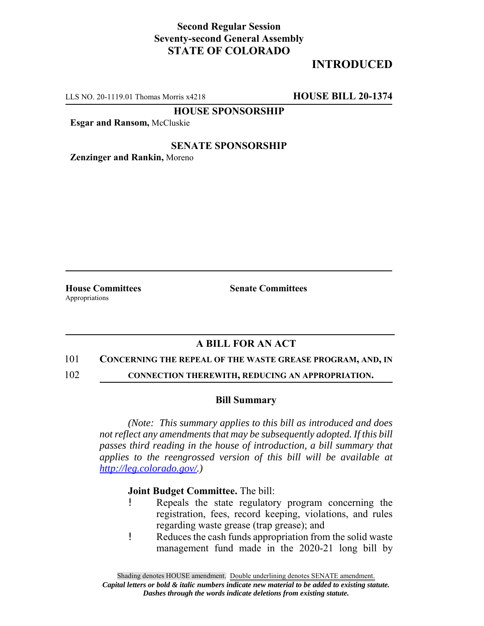## **Second Regular Session Seventy-second General Assembly STATE OF COLORADO**

# **INTRODUCED**

LLS NO. 20-1119.01 Thomas Morris x4218 **HOUSE BILL 20-1374**

**HOUSE SPONSORSHIP**

**Esgar and Ransom,** McCluskie

## **SENATE SPONSORSHIP**

**Zenzinger and Rankin,** Moreno

Appropriations

**House Committees Senate Committees** 

## **A BILL FOR AN ACT**

#### 101 **CONCERNING THE REPEAL OF THE WASTE GREASE PROGRAM, AND, IN**

102 **CONNECTION THEREWITH, REDUCING AN APPROPRIATION.**

## **Bill Summary**

*(Note: This summary applies to this bill as introduced and does not reflect any amendments that may be subsequently adopted. If this bill passes third reading in the house of introduction, a bill summary that applies to the reengrossed version of this bill will be available at http://leg.colorado.gov/.)*

## **Joint Budget Committee.** The bill:

- ! Repeals the state regulatory program concerning the registration, fees, record keeping, violations, and rules regarding waste grease (trap grease); and
- ! Reduces the cash funds appropriation from the solid waste management fund made in the 2020-21 long bill by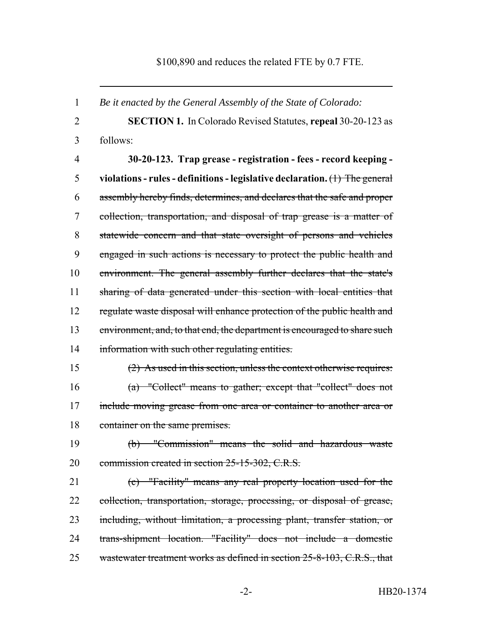### \$100,890 and reduces the related FTE by 0.7 FTE.

 *Be it enacted by the General Assembly of the State of Colorado:* **SECTION 1.** In Colorado Revised Statutes, **repeal** 30-20-123 as follows: **30-20-123. Trap grease - registration - fees - record keeping - violations - rules - definitions - legislative declaration.** (1) The general assembly hereby finds, determines, and declares that the safe and proper collection, transportation, and disposal of trap grease is a matter of statewide concern and that state oversight of persons and vehicles engaged in such actions is necessary to protect the public health and environment. The general assembly further declares that the state's sharing of data generated under this section with local entities that 12 regulate waste disposal will enhance protection of the public health and 13 environment, and, to that end, the department is encouraged to share such 14 information with such other regulating entities. (2) As used in this section, unless the context otherwise requires: (a) "Collect" means to gather; except that "collect" does not include moving grease from one area or container to another area or 18 container on the same premises. (b) "Commission" means the solid and hazardous waste 20 commission created in section 25-15-302, C.R.S. (c) "Facility" means any real property location used for the collection, transportation, storage, processing, or disposal of grease, including, without limitation, a processing plant, transfer station, or trans-shipment location. "Facility" does not include a domestic 25 wastewater treatment works as defined in section 25-8-103, C.R.S., that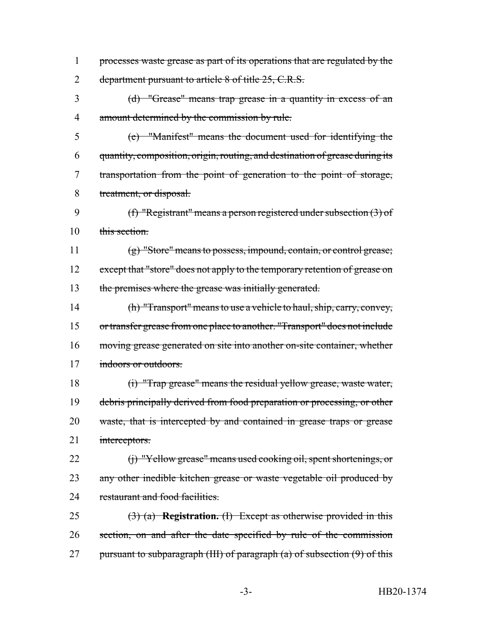processes waste grease as part of its operations that are regulated by the 2 department pursuant to article 8 of title 25, C.R.S.

 (d) "Grease" means trap grease in a quantity in excess of an amount determined by the commission by rule.

 (e) "Manifest" means the document used for identifying the quantity, composition, origin, routing, and destination of grease during its transportation from the point of generation to the point of storage, treatment, or disposal.

 (f) "Registrant" means a person registered under subsection (3) of 10 this section.

 (g) "Store" means to possess, impound, contain, or control grease; 12 except that "store" does not apply to the temporary retention of grease on the premises where the grease was initially generated.

 (h) "Transport" means to use a vehicle to haul, ship, carry, convey, or transfer grease from one place to another. "Transport" does not include moving grease generated on site into another on-site container, whether indoors or outdoors.

 (i) "Trap grease" means the residual yellow grease, waste water, 19 debris principally derived from food preparation or processing, or other waste, that is intercepted by and contained in grease traps or grease 21 interceptors.

22 (j) "Yellow grease" means used cooking oil, spent shortenings, or 23 any other inedible kitchen grease or waste vegetable oil produced by 24 restaurant and food facilities.

 (3) (a) **Registration.** (I) Except as otherwise provided in this 26 section, on and after the date specified by rule of the commission 27 pursuant to subparagraph (III) of paragraph  $(a)$  of subsection  $(9)$  of this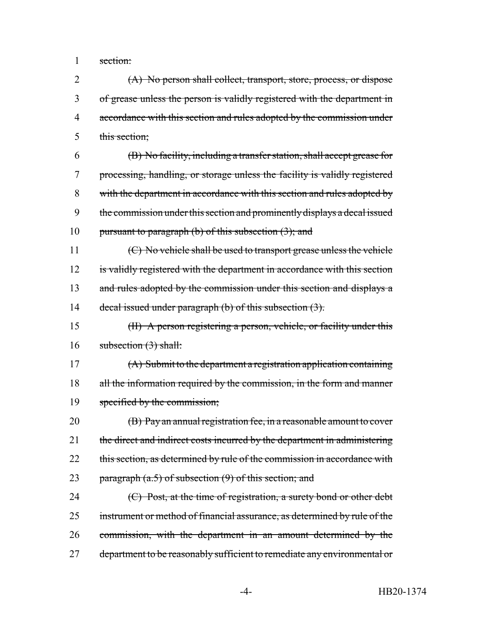1 section:

 (A) No person shall collect, transport, store, process, or dispose of grease unless the person is validly registered with the department in 4 accordance with this section and rules adopted by the commission under this section;

6 (B) No facility, including a transfer station, shall accept grease for 7 processing, handling, or storage unless the facility is validly registered 8 with the department in accordance with this section and rules adopted by 9 the commission under this section and prominently displays a decal issued 10 pursuant to paragraph (b) of this subsection  $(3)$ ; and

11 (C) No vehicle shall be used to transport grease unless the vehicle 12 is validly registered with the department in accordance with this section 13 and rules adopted by the commission under this section and displays a 14 decal issued under paragraph (b) of this subsection (3).

15 (II) A person registering a person, vehicle, or facility under this 16 subsection (3) shall:

17 (A) Submit to the department a registration application containing 18 all the information required by the commission, in the form and manner 19 specified by the commission;

20 (B) Pay an annual registration fee, in a reasonable amount to cover 21 the direct and indirect costs incurred by the department in administering 22 this section, as determined by rule of the commission in accordance with 23 paragraph  $(a.5)$  of subsection  $(9)$  of this section; and

24 (C) Post, at the time of registration, a surety bond or other debt 25 instrument or method of financial assurance, as determined by rule of the 26 commission, with the department in an amount determined by the 27 department to be reasonably sufficient to remediate any environmental or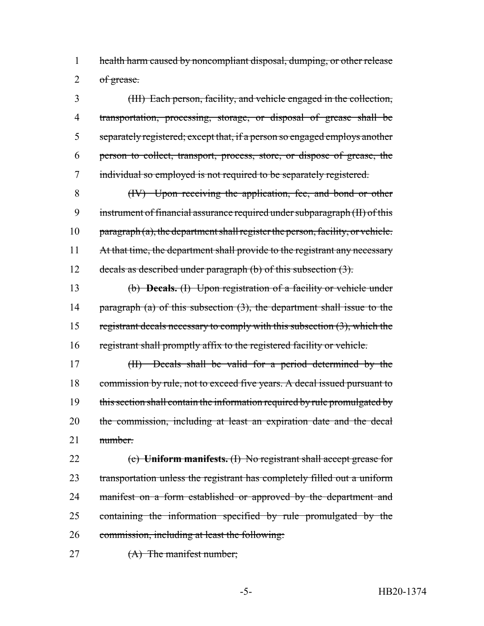1 health harm caused by noncompliant disposal, dumping, or other release  $2$  of grease.

 (III) Each person, facility, and vehicle engaged in the collection, transportation, processing, storage, or disposal of grease shall be separately registered; except that, if a person so engaged employs another person to collect, transport, process, store, or dispose of grease, the 7 individual so employed is not required to be separately registered.

8 (IV) Upon receiving the application, fee, and bond or other 9 instrument of financial assurance required under subparagraph (II) of this 10 paragraph  $(a)$ , the department shall register the person, facility, or vehicle. 11 At that time, the department shall provide to the registrant any necessary 12 decals as described under paragraph (b) of this subsection (3).

13 (b) **Decals.** (I) Upon registration of a facility or vehicle under 14 paragraph (a) of this subsection (3), the department shall issue to the 15 registrant decals necessary to comply with this subsection (3), which the 16 registrant shall promptly affix to the registered facility or vehicle.

17 (II) Decals shall be valid for a period determined by the 18 commission by rule, not to exceed five years. A decal issued pursuant to 19 this section shall contain the information required by rule promulgated by 20 the commission, including at least an expiration date and the decal 21 <del>number.</del>

 (c) **Uniform manifests.** (I) No registrant shall accept grease for transportation unless the registrant has completely filled out a uniform 24 manifest on a form established or approved by the department and containing the information specified by rule promulgated by the commission, including at least the following:

27 (A) The manifest number;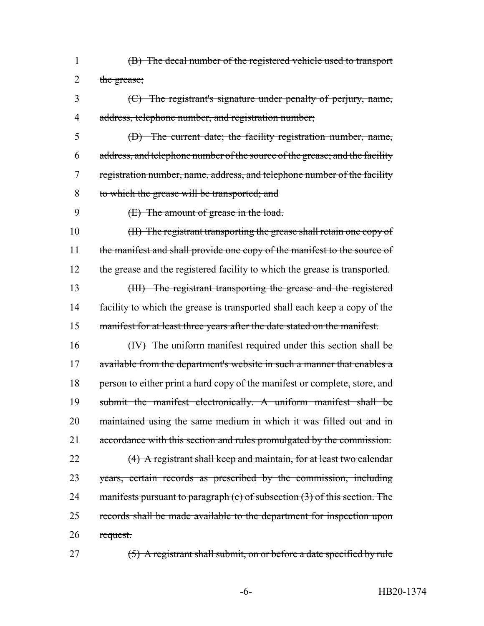- (B) The decal number of the registered vehicle used to transport 2 the grease;
- (C) The registrant's signature under penalty of perjury, name, address, telephone number, and registration number;
- (D) The current date; the facility registration number, name, address, and telephone number of the source of the grease; and the facility registration number, name, address, and telephone number of the facility to which the grease will be transported; and
- (E) The amount of grease in the load.

 (II) The registrant transporting the grease shall retain one copy of 11 the manifest and shall provide one copy of the manifest to the source of 12 the grease and the registered facility to which the grease is transported. (III) The registrant transporting the grease and the registered 14 facility to which the grease is transported shall each keep a copy of the 15 manifest for at least three years after the date stated on the manifest.

 (IV) The uniform manifest required under this section shall be 17 available from the department's website in such a manner that enables a 18 person to either print a hard copy of the manifest or complete, store, and submit the manifest electronically. A uniform manifest shall be 20 maintained using the same medium in which it was filled out and in accordance with this section and rules promulgated by the commission. (4) A registrant shall keep and maintain, for at least two calendar 23 years, certain records as prescribed by the commission, including 24 manifests pursuant to paragraph (c) of subsection (3) of this section. The records shall be made available to the department for inspection upon request.

(5) A registrant shall submit, on or before a date specified by rule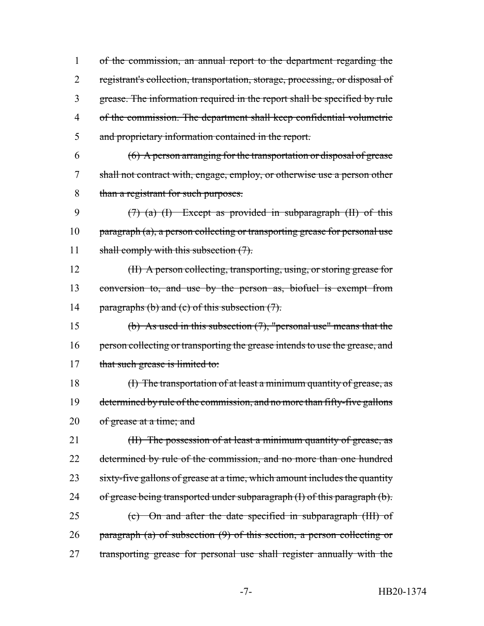of the commission, an annual report to the department regarding the 2 registrant's collection, transportation, storage, processing, or disposal of grease. The information required in the report shall be specified by rule of the commission. The department shall keep confidential volumetric and proprietary information contained in the report.

6 (6) A person arranging for the transportation or disposal of grease 7 shall not contract with, engage, employ, or otherwise use a person other 8 than a registrant for such purposes.

9  $(7)$  (a) (I) Except as provided in subparagraph (II) of this 10 paragraph (a), a person collecting or transporting grease for personal use 11 shall comply with this subsection  $(7)$ .

12 (II) A person collecting, transporting, using, or storing grease for 13 conversion to, and use by the person as, biofuel is exempt from 14 paragraphs (b) and (c) of this subsection  $(7)$ .

15 (b) As used in this subsection  $(7)$ , "personal use" means that the 16 person collecting or transporting the grease intends to use the grease, and 17 that such grease is limited to:

18 (I) The transportation of at least a minimum quantity of grease, as 19 determined by rule of the commission, and no more than fifty-five gallons 20 of grease at a time; and

21 (II) The possession of at least a minimum quantity of grease, as 22 determined by rule of the commission, and no more than one hundred 23 sixty-five gallons of grease at a time, which amount includes the quantity 24 of grease being transported under subparagraph (I) of this paragraph (b). 25 (c) On and after the date specified in subparagraph (III) of 26 paragraph (a) of subsection (9) of this section, a person collecting or 27 transporting grease for personal use shall register annually with the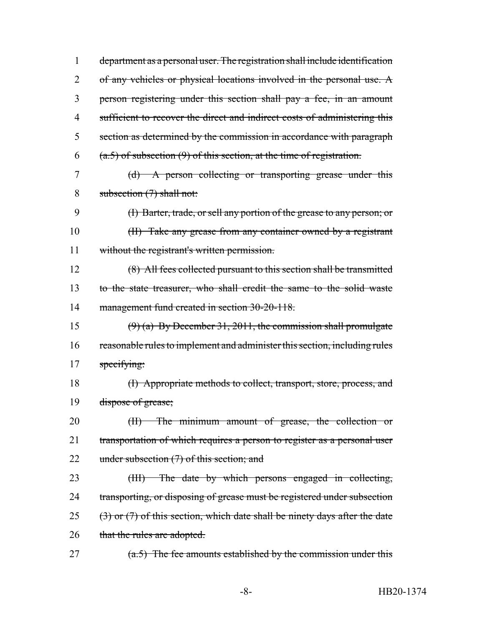department as a personal user. The registration shall include identification 2 of any vehicles or physical locations involved in the personal use. A person registering under this section shall pay a fee, in an amount 4 sufficient to recover the direct and indirect costs of administering this section as determined by the commission in accordance with paragraph (a.5) of subsection (9) of this section, at the time of registration. (d) A person collecting or transporting grease under this

8 subsection (7) shall not:

9 (I) Barter, trade, or sell any portion of the grease to any person; or 10 (II) Take any grease from any container owned by a registrant 11 without the registrant's written permission.

12 (8) All fees collected pursuant to this section shall be transmitted 13 to the state treasurer, who shall credit the same to the solid waste 14 management fund created in section 30-20-118.

15  $(9)$  (a) By December 31, 2011, the commission shall promulgate 16 reasonable rules to implement and administer this section, including rules 17 specifying:

18 (I) Appropriate methods to collect, transport, store, process, and 19 dispose of grease;

20 (II) The minimum amount of grease, the collection or 21 transportation of which requires a person to register as a personal user 22 under subsection (7) of this section; and

23 (III) The date by which persons engaged in collecting, 24 transporting, or disposing of grease must be registered under subsection  $25$  (3) or (7) of this section, which date shall be ninety days after the date 26 that the rules are adopted.

27  $(a.5)$  The fee amounts established by the commission under this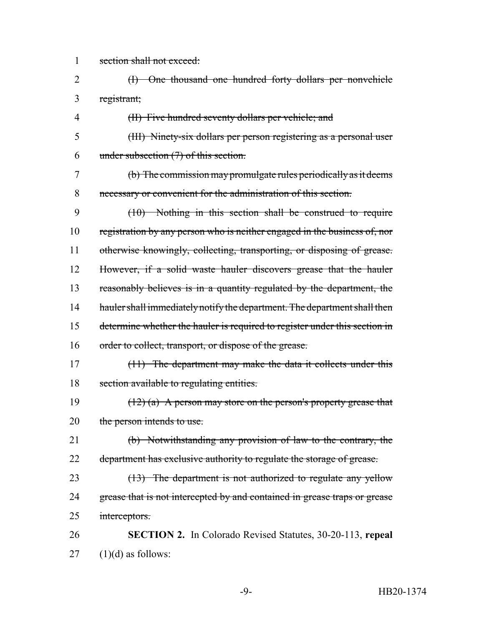section shall not exceed:

- (I) One thousand one hundred forty dollars per nonvehicle registrant;
- (II) Five hundred seventy dollars per vehicle; and
- (III) Ninety-six dollars per person registering as a personal user under subsection (7) of this section.
- (b) The commission may promulgate rules periodically as it deems necessary or convenient for the administration of this section.
- (10) Nothing in this section shall be construed to require 10 registration by any person who is neither engaged in the business of, nor 11 otherwise knowingly, collecting, transporting, or disposing of grease. However, if a solid waste hauler discovers grease that the hauler reasonably believes is in a quantity regulated by the department, the 14 hauler shall immediately notify the department. The department shall then determine whether the hauler is required to register under this section in 16 order to collect, transport, or dispose of the grease.
- (11) The department may make the data it collects under this section available to regulating entities.
- 19  $(12)$  (a) A person may store on the person's property grease that 20 the person intends to use.
- (b) Notwithstanding any provision of law to the contrary, the 22 department has exclusive authority to regulate the storage of grease.
- 23 (13) The department is not authorized to regulate any yellow 24 grease that is not intercepted by and contained in grease traps or grease interceptors.
- **SECTION 2.** In Colorado Revised Statutes, 30-20-113, **repeal** (1)(d) as follows: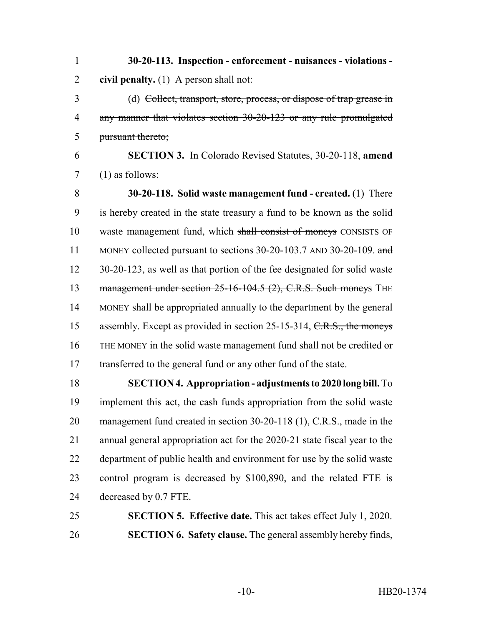**30-20-113. Inspection - enforcement - nuisances - violations - civil penalty.** (1) A person shall not:

 (d) Collect, transport, store, process, or dispose of trap grease in any manner that violates section 30-20-123 or any rule promulgated pursuant thereto;

 **SECTION 3.** In Colorado Revised Statutes, 30-20-118, **amend** (1) as follows:

 **30-20-118. Solid waste management fund - created.** (1) There is hereby created in the state treasury a fund to be known as the solid waste management fund, which shall consist of moneys CONSISTS OF 11 MONEY collected pursuant to sections 30-20-103.7 AND 30-20-109. and 12 30-20-123, as well as that portion of the fee designated for solid waste 13 management under section 25-16-104.5 (2), C.R.S. Such moneys THE MONEY shall be appropriated annually to the department by the general 15 assembly. Except as provided in section 25-15-314, C.R.S., the moneys THE MONEY in the solid waste management fund shall not be credited or transferred to the general fund or any other fund of the state.

 **SECTION 4. Appropriation - adjustments to 2020 long bill.** To implement this act, the cash funds appropriation from the solid waste management fund created in section 30-20-118 (1), C.R.S., made in the annual general appropriation act for the 2020-21 state fiscal year to the department of public health and environment for use by the solid waste control program is decreased by \$100,890, and the related FTE is decreased by 0.7 FTE.

 **SECTION 5. Effective date.** This act takes effect July 1, 2020. **SECTION 6. Safety clause.** The general assembly hereby finds,